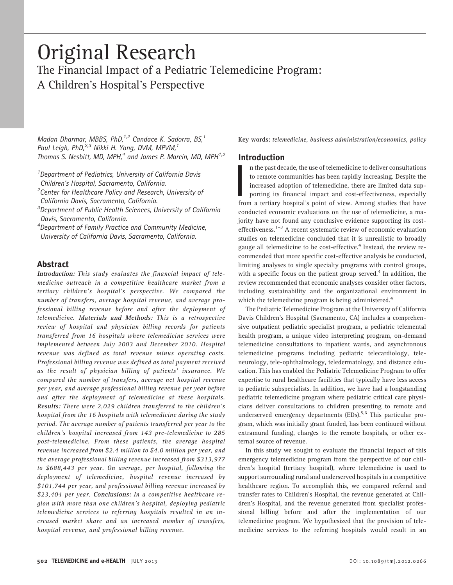# Original Research The Financial Impact of a Pediatric Telemedicine Program: A Children's Hospital's Perspective

Madan Dharmar, MBBS, PhD, $^{1,2}$  Candace K. Sadorra, BS, $^{1}$ Paul Leigh, PhD,<sup>2,3</sup> Nikki H. Yang, DVM, MPVM,<sup>1</sup> Thomas S. Nesbitt, MD, MPH, $<sup>4</sup>$  and James P. Marcin, MD, MPH $<sup>1,2</sup>$ </sup></sup>

<sup>1</sup> Department of Pediatrics, University of California Davis Children's Hospital, Sacramento, California.

- <sup>2</sup> Center for Healthcare Policy and Research, University of California Davis, Sacramento, California.
- <sup>3</sup>Department of Public Health Sciences, University of California Davis, Sacramento, California.
- <sup>4</sup>Department of Family Practice and Community Medicine, University of California Davis, Sacramento, California.

# Abstract

Introduction: This study evaluates the financial impact of telemedicine outreach in a competitive healthcare market from a tertiary children's hospital's perspective. We compared the number of transfers, average hospital revenue, and average professional billing revenue before and after the deployment of telemedicine. Materials and Methods: This is a retrospective review of hospital and physician billing records for patients transferred from 16 hospitals where telemedicine services were implemented between July 2003 and December 2010. Hospital revenue was defined as total revenue minus operating costs. Professional billing revenue was defined as total payment received as the result of physician billing of patients' insurance. We compared the number of transfers, average net hospital revenue per year, and average professional billing revenue per year before and after the deployment of telemedicine at these hospitals. Results: There were 2,029 children transferred to the children's hospital from the 16 hospitals with telemedicine during the study period. The average number of patients transferred per year to the children's hospital increased from 143 pre-telemedicine to 285 post-telemedicine. From these patients, the average hospital revenue increased from \$2.4 million to \$4.0 million per year, and the average professional billing revenue increased from \$313,977 to \$688,443 per year. On average, per hospital, following the deployment of telemedicine, hospital revenue increased by \$101,744 per year, and professional billing revenue increased by \$23,404 per year. Conclusions: In a competitive healthcare region with more than one children's hospital, deploying pediatric telemedicine services to referring hospitals resulted in an increased market share and an increased number of transfers, hospital revenue, and professional billing revenue.

Key words: telemedicine, business administration/economics, policy

# Introduction

**I**<br>Ifro n the past decade, the use of telemedicine to deliver consultations to remote communities has been rapidly increasing. Despite the increased adoption of telemedicine, there are limited data supporting its financial impact and cost-effectiveness, especially from a tertiary hospital's point of view. Among studies that have conducted economic evaluations on the use of telemedicine, a majority have not found any conclusive evidence supporting its costeffectiveness.<sup>1–3</sup> A recent systematic review of economic evaluation studies on telemedicine concluded that it is unrealistic to broadly gauge all telemedicine to be cost-effective.<sup>4</sup> Instead, the review recommended that more specific cost-effective analysis be conducted, limiting analyses to single specialty programs with control groups, with a specific focus on the patient group served. $4$  In addition, the review recommended that economic analyses consider other factors, including sustainability and the organizational environment in which the telemedicine program is being administered.<sup>4</sup>

The Pediatric Telemedicine Program at the University of California Davis Children's Hospital (Sacramento, CA) includes a comprehensive outpatient pediatric specialist program, a pediatric telemental health program, a unique video interpreting program, on-demand telemedicine consultations to inpatient wards, and asynchronous telemedicine programs including pediatric telecardiology, teleneurology, tele-ophthalmology, teledermatology, and distance education. This has enabled the Pediatric Telemedicine Program to offer expertise to rural healthcare facilities that typically have less access to pediatric subspecialists. In addition, we have had a longstanding pediatric telemedicine program where pediatric critical care physicians deliver consultations to children presenting to remote and underserved emergency departments (EDs).<sup>5,6</sup> This particular program, which was initially grant funded, has been continued without extramural funding, charges to the remote hospitals, or other external source of revenue.

In this study we sought to evaluate the financial impact of this emergency telemedicine program from the perspective of our children's hospital (tertiary hospital), where telemedicine is used to support surrounding rural and underserved hospitals in a competitive healthcare region. To accomplish this, we compared referral and transfer rates to Children's Hospital, the revenue generated at Children's Hospital, and the revenue generated from specialist professional billing before and after the implementation of our telemedicine program. We hypothesized that the provision of telemedicine services to the referring hospitals would result in an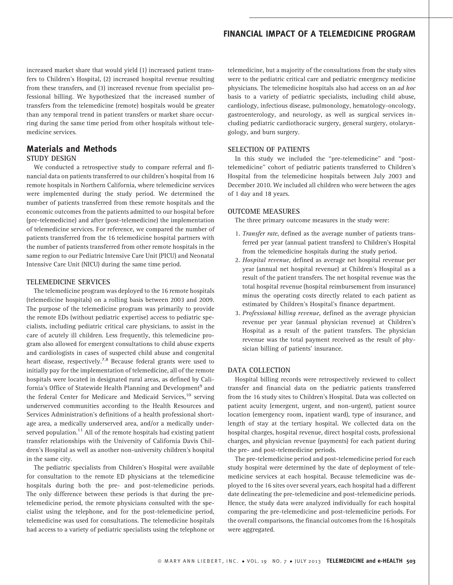# FINANCIAL IMPACT OF A TELEMEDICINE PROGRAM

increased market share that would yield (1) increased patient transfers to Children's Hospital, (2) increased hospital revenue resulting from these transfers, and (3) increased revenue from specialist professional billing. We hypothesized that the increased number of transfers from the telemedicine (remote) hospitals would be greater than any temporal trend in patient transfers or market share occurring during the same time period from other hospitals without telemedicine services.

# Materials and Methods

## STUDY DESIGN

We conducted a retrospective study to compare referral and financial data on patients transferred to our children's hospital from 16 remote hospitals in Northern California, where telemedicine services were implemented during the study period. We determined the number of patients transferred from these remote hospitals and the economic outcomes from the patients admitted to our hospital before (pre-telemedicine) and after (post-telemedicine) the implementation of telemedicine services. For reference, we compared the number of patients transferred from the 16 telemedicine hospital partners with the number of patients transferred from other remote hospitals in the same region to our Pediatric Intensive Care Unit (PICU) and Neonatal Intensive Care Unit (NICU) during the same time period.

#### TELEMEDICINE SERVICES

The telemedicine program was deployed to the 16 remote hospitals (telemedicine hospitals) on a rolling basis between 2003 and 2009. The purpose of the telemedicine program was primarily to provide the remote EDs (without pediatric expertise) access to pediatric specialists, including pediatric critical care physicians, to assist in the care of acutely ill children. Less frequently, this telemedicine program also allowed for emergent consultations to child abuse experts and cardiologists in cases of suspected child abuse and congenital heart disease, respectively.<sup>7,8</sup> Because federal grants were used to initially pay for the implementation of telemedicine, all of the remote hospitals were located in designated rural areas, as defined by California's Office of Statewide Health Planning and Development<sup>9</sup> and the federal Center for Medicare and Medicaid Services,<sup>10</sup> serving underserved communities according to the Health Resources and Services Administration's definitions of a health professional shortage area, a medically underserved area, and/or a medically underserved population.<sup>11</sup> All of the remote hospitals had existing patient transfer relationships with the University of California Davis Children's Hospital as well as another non-university children's hospital in the same city.

The pediatric specialists from Children's Hospital were available for consultation to the remote ED physicians at the telemedicine hospitals during both the pre- and post-telemedicine periods. The only difference between these periods is that during the pretelemedicine period, the remote physicians consulted with the specialist using the telephone, and for the post-telemedicine period, telemedicine was used for consultations. The telemedicine hospitals had access to a variety of pediatric specialists using the telephone or telemedicine, but a majority of the consultations from the study sites were to the pediatric critical care and pediatric emergency medicine physicians. The telemedicine hospitals also had access on an *ad hoc* basis to a variety of pediatric specialists, including child abuse, cardiology, infectious disease, pulmonology, hematology-oncology, gastroenterology, and neurology, as well as surgical services including pediatric cardiothoracic surgery, general surgery, otolaryngology, and burn surgery.

#### SELECTION OF PATIENTS

In this study we included the "pre-telemedicine" and "posttelemedicine'' cohort of pediatric patients transferred to Children's Hospital from the telemedicine hospitals between July 2003 and December 2010. We included all children who were between the ages of 1 day and 18 years.

### OUTCOME MEASURES

The three primary outcome measures in the study were:

- 1. Transfer rate, defined as the average number of patients transferred per year (annual patient transfers) to Children's Hospital from the telemedicine hospitals during the study period.
- 2. Hospital revenue, defined as average net hospital revenue per year (annual net hospital revenue) at Children's Hospital as a result of the patient transfers. The net hospital revenue was the total hospital revenue (hospital reimbursement from insurance) minus the operating costs directly related to each patient as estimated by Children's Hospital's finance department.
- 3. Professional billing revenue, defined as the average physician revenue per year (annual physician revenue) at Children's Hospital as a result of the patient transfers. The physician revenue was the total payment received as the result of physician billing of patients' insurance.

#### DATA COLLECTION

Hospital billing records were retrospectively reviewed to collect transfer and financial data on the pediatric patients transferred from the 16 study sites to Children's Hospital. Data was collected on patient acuity (emergent, urgent, and non-urgent), patient source location (emergency room, inpatient ward), type of insurance, and length of stay at the tertiary hospital. We collected data on the hospital charges, hospital revenue, direct hospital costs, professional charges, and physician revenue (payments) for each patient during the pre- and post-telemedicine periods.

The pre-telemedicine period and post-telemedicine period for each study hospital were determined by the date of deployment of telemedicine services at each hospital. Because telemedicine was deployed to the 16 sites over several years, each hospital had a different date delineating the pre-telemedicine and post-telemedicine periods. Hence, the study data were analyzed individually for each hospital comparing the pre-telemedicine and post-telemedicine periods. For the overall comparisons, the financial outcomes from the 16 hospitals were aggregated.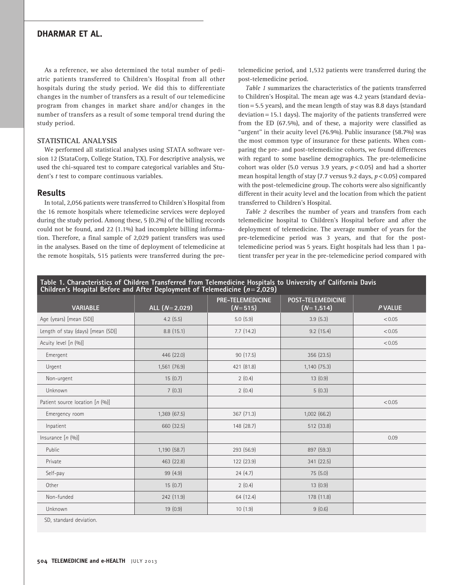## DHARMAR ET AL.

As a reference, we also determined the total number of pediatric patients transferred to Children's Hospital from all other hospitals during the study period. We did this to differentiate changes in the number of transfers as a result of our telemedicine program from changes in market share and/or changes in the number of transfers as a result of some temporal trend during the study period.

#### STATISTICAL ANALYSIS

We performed all statistical analyses using STATA software version 12 (StataCorp, College Station, TX). For descriptive analysis, we used the chi-squared test to compare categorical variables and Student's t test to compare continuous variables.

#### Results

In total, 2,056 patients were transferred to Children's Hospital from the 16 remote hospitals where telemedicine services were deployed during the study period. Among these, 5 (0.2%) of the billing records could not be found, and 22 (1.1%) had incomplete billing information. Therefore, a final sample of 2,029 patient transfers was used in the analyses. Based on the time of deployment of telemedicine at the remote hospitals, 515 patients were transferred during the pre-

telemedicine period, and 1,532 patients were transferred during the post-telemedicine period.

Table 1 summarizes the characteristics of the patients transferred to Children's Hospital. The mean age was 4.2 years (standard deviation = 5.5 years), and the mean length of stay was 8.8 days (standard deviation = 15.1 days). The majority of the patients transferred were from the ED (67.5%), and of these, a majority were classified as "urgent" in their acuity level (76.9%). Public insurance (58.7%) was the most common type of insurance for these patients. When comparing the pre- and post-telemedicine cohorts, we found differences with regard to some baseline demographics. The pre-telemedicine cohort was older (5.0 versus 3.9 years,  $p < 0.05$ ) and had a shorter mean hospital length of stay (7.7 versus 9.2 days,  $p < 0.05$ ) compared with the post-telemedicine group. The cohorts were also significantly different in their acuity level and the location from which the patient transferred to Children's Hospital.

Table 2 describes the number of years and transfers from each telemedicine hospital to Children's Hospital before and after the deployment of telemedicine. The average number of years for the pre-telemedicine period was 3 years, and that for the posttelemedicine period was 5 years. Eight hospitals had less than 1 patient transfer per year in the pre-telemedicine period compared with

| Table 1. Characteristics of Children Transferred from Telemedicine Hospitals to University of California Davis<br>Children's Hospital Before and After Deployment of Telemedicine $(n=2,029)$ |                 |                                                                                 |             |         |  |  |
|-----------------------------------------------------------------------------------------------------------------------------------------------------------------------------------------------|-----------------|---------------------------------------------------------------------------------|-------------|---------|--|--|
| <b>VARIABLE</b>                                                                                                                                                                               | ALL $(N=2,029)$ | <b>PRE-TELEMEDICINE</b><br><b>POST-TELEMEDICINE</b><br>$(N=515)$<br>$(N=1,514)$ |             | P VALUE |  |  |
| Age (years) [mean (SD)]                                                                                                                                                                       | 4.2(5.5)        | 5.0(5.9)                                                                        | 3.9(5.3)    | < 0.05  |  |  |
| Length of stay (days) [mean (SD)]                                                                                                                                                             | 8.8(15.1)       | 7.7(14.2)                                                                       | 9.2(15.4)   | < 0.05  |  |  |
| Acuity level [n (%)]                                                                                                                                                                          |                 |                                                                                 |             | < 0.05  |  |  |
| Emergent                                                                                                                                                                                      | 446 (22.0)      | 90(17.5)                                                                        | 356 (23.5)  |         |  |  |
| Urgent                                                                                                                                                                                        | 1,561(76.9)     | 421 (81.8)                                                                      | 1,140(75.3) |         |  |  |
| Non-urgent                                                                                                                                                                                    | 15(0.7)         | 2(0.4)                                                                          | 13(0.9)     |         |  |  |
| Unknown                                                                                                                                                                                       | 7(0.3)          | 2(0.4)                                                                          | 5(0.3)      |         |  |  |
| Patient source location $[n (96)]$                                                                                                                                                            |                 |                                                                                 |             | < 0.05  |  |  |
| Emergency room                                                                                                                                                                                | 1,369(67.5)     | 367 (71.3)                                                                      | 1,002(66.2) |         |  |  |
| Inpatient                                                                                                                                                                                     | 660 (32.5)      | 148 (28.7)                                                                      | 512 (33.8)  |         |  |  |
| Insurance $[n (96)]$                                                                                                                                                                          |                 |                                                                                 |             | 0.09    |  |  |
| Public                                                                                                                                                                                        | 1,190(58.7)     | 293 (56.9)                                                                      | 897 (59.3)  |         |  |  |
| Private                                                                                                                                                                                       | 463 (22.8)      | 122 (23.9)                                                                      | 341(22.5)   |         |  |  |
| Self-pay                                                                                                                                                                                      | 99 (4.9)        | 24(4.7)                                                                         | 75 (5.0)    |         |  |  |
| Other                                                                                                                                                                                         | 15(0.7)         | 2(0.4)                                                                          | 13(0.9)     |         |  |  |
| Non-funded                                                                                                                                                                                    | 242(11.9)       | 64 (12.4)                                                                       | 178 (11.8)  |         |  |  |
| Unknown                                                                                                                                                                                       | 19(0.9)         | 10(1.9)                                                                         | 9(0.6)      |         |  |  |

SD, standard deviation.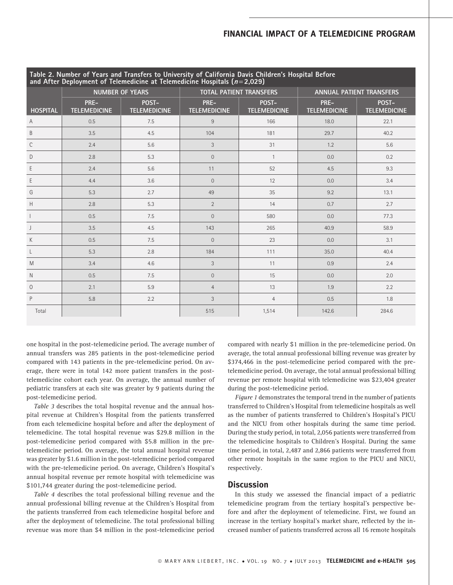# FINANCIAL IMPACT OF A TELEMEDICINE PROGRAM

| Table 2. Number of Years and Transfers to University of California Davis Children's Hospital Before<br>and After Deployment of Telemedicine at Telemedicine Hospitals $(n=2,029)$ |                             |                              |                             |                                |                                 |                              |
|-----------------------------------------------------------------------------------------------------------------------------------------------------------------------------------|-----------------------------|------------------------------|-----------------------------|--------------------------------|---------------------------------|------------------------------|
|                                                                                                                                                                                   |                             | <b>NUMBER OF YEARS</b>       |                             | <b>TOTAL PATIENT TRANSFERS</b> | <b>ANNUAL PATIENT TRANSFERS</b> |                              |
| <b>HOSPITAL</b>                                                                                                                                                                   | PRE-<br><b>TELEMEDICINE</b> | POST-<br><b>TELEMEDICINE</b> | PRE-<br><b>TELEMEDICINE</b> | POST-<br><b>TELEMEDICINE</b>   | PRE-<br><b>TELEMEDICINE</b>     | POST-<br><b>TELEMEDICINE</b> |
| A                                                                                                                                                                                 | 0.5                         | 7.5                          | 9                           | 166                            | 18.0                            | 22.1                         |
| B                                                                                                                                                                                 | 3.5                         | 4.5                          | 104                         | 181                            | 29.7                            | 40.2                         |
| $\mathsf C$                                                                                                                                                                       | 2.4                         | 5.6                          | 3                           | 31                             | 1.2                             | 5.6                          |
| D                                                                                                                                                                                 | 2.8                         | 5.3                          | $\mathbf 0$                 | $\mathbf{1}$                   | 0.0                             | 0.2                          |
| Ε                                                                                                                                                                                 | 2.4                         | 5.6                          | 11                          | 52                             | 4.5                             | 9.3                          |
| E                                                                                                                                                                                 | 4.4                         | 3.6                          | $\Omega$                    | 12                             | 0.0                             | 3.4                          |
| G                                                                                                                                                                                 | 5.3                         | 2.7                          | 49                          | 35                             | 9.2                             | 13.1                         |
| H                                                                                                                                                                                 | 2.8                         | 5.3                          | $\overline{2}$              | 14                             | 0.7                             | 2.7                          |
|                                                                                                                                                                                   | 0.5                         | 7.5                          | $\mathbf{0}$                | 580                            | 0.0                             | 77.3                         |
| J                                                                                                                                                                                 | 3.5                         | 4.5                          | 143                         | 265                            | 40.9                            | 58.9                         |
| К                                                                                                                                                                                 | 0.5                         | 7.5                          | $\mathbf{0}$                | 23                             | 0.0                             | 3.1                          |
| $\mathsf{L}$                                                                                                                                                                      | 5.3                         | 2.8                          | 184                         | 111                            | 35.0                            | 40.4                         |
| M                                                                                                                                                                                 | 3.4                         | 4.6                          | 3                           | 11                             | 0.9                             | 2.4                          |
| N                                                                                                                                                                                 | 0.5                         | 7.5                          | $\mathbf 0$                 | 15                             | 0.0                             | 2.0                          |
| $\Omega$                                                                                                                                                                          | 2.1                         | 5.9                          | $\overline{4}$              | 13                             | 1.9                             | 2.2                          |
| P                                                                                                                                                                                 | 5.8                         | 2.2                          | 3                           | $\overline{4}$                 | 0.5                             | 1.8                          |
| Total                                                                                                                                                                             |                             |                              | 515                         | 1,514                          | 142.6                           | 284.6                        |

one hospital in the post-telemedicine period. The average number of annual transfers was 285 patients in the post-telemedicine period compared with 143 patients in the pre-telemedicine period. On average, there were in total 142 more patient transfers in the posttelemedicine cohort each year. On average, the annual number of pediatric transfers at each site was greater by 9 patients during the post-telemedicine period.

Table 3 describes the total hospital revenue and the annual hospital revenue at Children's Hospital from the patients transferred from each telemedicine hospital before and after the deployment of telemedicine. The total hospital revenue was \$29.8 million in the post-telemedicine period compared with \$5.8 million in the pretelemedicine period. On average, the total annual hospital revenue was greater by \$1.6 million in the post-telemedicine period compared with the pre-telemedicine period. On average, Children's Hospital's annual hospital revenue per remote hospital with telemedicine was \$101,744 greater during the post-telemedicine period.

Table 4 describes the total professional billing revenue and the annual professional billing revenue at the Children's Hospital from the patients transferred from each telemedicine hospital before and after the deployment of telemedicine. The total professional billing revenue was more than \$4 million in the post-telemedicine period

compared with nearly \$1 million in the pre-telemedicine period. On average, the total annual professional billing revenue was greater by \$374,466 in the post-telemedicine period compared with the pretelemedicine period. On average, the total annual professional billing revenue per remote hospital with telemedicine was \$23,404 greater during the post-telemedicine period.

Figure 1 demonstrates the temporal trend in the number of patients transferred to Children's Hospital from telemedicine hospitals as well as the number of patients transferred to Children's Hospital's PICU and the NICU from other hospitals during the same time period. During the study period, in total, 2,056 patients were transferred from the telemedicine hospitals to Children's Hospital. During the same time period, in total, 2,487 and 2,866 patients were transferred from other remote hospitals in the same region to the PICU and NICU, respectively.

## Discussion

In this study we assessed the financial impact of a pediatric telemedicine program from the tertiary hospital's perspective before and after the deployment of telemedicine. First, we found an increase in the tertiary hospital's market share, reflected by the increased number of patients transferred across all 16 remote hospitals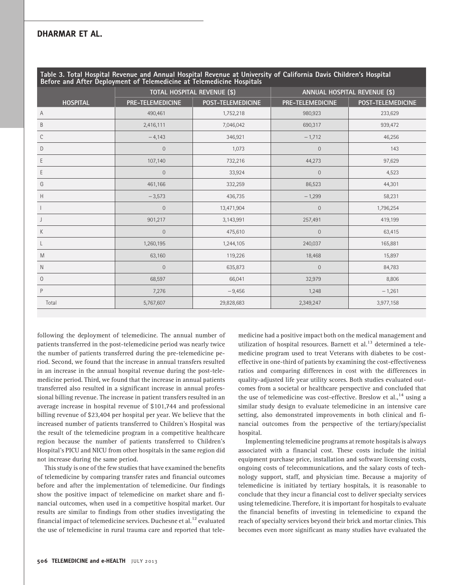## DHARMAR ET AL.

| Table 3. Total Hospital Revenue and Annual Hospital Revenue at University of California Davis Children's Hospital<br>Before and After Deployment of Telemedicine at Telemedicine Hospitals |                                    |                          |                                     |                   |  |
|--------------------------------------------------------------------------------------------------------------------------------------------------------------------------------------------|------------------------------------|--------------------------|-------------------------------------|-------------------|--|
|                                                                                                                                                                                            | <b>TOTAL HOSPITAL REVENUE (\$)</b> |                          | <b>ANNUAL HOSPITAL REVENUE (\$)</b> |                   |  |
| <b>HOSPITAL</b>                                                                                                                                                                            | <b>PRE-TELEMEDICINE</b>            | <b>POST-TELEMEDICINE</b> | <b>PRE-TELEMEDICINE</b>             | POST-TELEMEDICINE |  |
| A                                                                                                                                                                                          | 490,461                            | 1,752,218                | 980,923                             | 233,629           |  |
| B                                                                                                                                                                                          | 2,416,111                          | 7,046,042                | 690,317                             | 939,472           |  |
| C                                                                                                                                                                                          | $-4,143$                           | 346,921                  | $-1,712$                            | 46,256            |  |
| D                                                                                                                                                                                          | $\mathbf{0}$                       | 1,073                    | $\mathbf{0}$                        | 143               |  |
| E                                                                                                                                                                                          | 107,140                            | 732,216                  | 44,273                              | 97,629            |  |
| Ε                                                                                                                                                                                          | $\mathbf{O}$                       | 33,924                   | $\mathbf 0$                         | 4,523             |  |
| G                                                                                                                                                                                          | 461,166                            | 332,259                  | 86,523                              | 44,301            |  |
| H                                                                                                                                                                                          | $-3,573$                           | 436,735                  | $-1,299$                            | 58,231            |  |
|                                                                                                                                                                                            | $\mathbf{O}$                       | 13,471,904               | $\mathbf 0$                         | 1,796,254         |  |
| J                                                                                                                                                                                          | 901,217                            | 3,143,991                | 257,491                             | 419,199           |  |
| К                                                                                                                                                                                          | $\overline{0}$                     | 475,610                  | $\mathbf{0}$                        | 63,415            |  |
| L                                                                                                                                                                                          | 1,260,195                          | 1,244,105                | 240,037                             | 165,881           |  |
| M                                                                                                                                                                                          | 63,160                             | 119,226                  | 18,468                              | 15,897            |  |
| $\mathsf{N}$                                                                                                                                                                               | $\overline{0}$                     | 635,873                  | $\mathbf{0}$                        | 84,783            |  |
| $\overline{O}$                                                                                                                                                                             | 68,597                             | 66,041                   | 32,979                              | 8,806             |  |
| $\mathsf{P}$                                                                                                                                                                               | 7,276                              | $-9,456$                 | 1,248                               | $-1,261$          |  |
| Total                                                                                                                                                                                      | 5,767,607                          | 29,828,683               | 2,349,247                           | 3,977,158         |  |

following the deployment of telemedicine. The annual number of patients transferred in the post-telemedicine period was nearly twice the number of patients transferred during the pre-telemedicine period. Second, we found that the increase in annual transfers resulted in an increase in the annual hospital revenue during the post-telemedicine period. Third, we found that the increase in annual patients transferred also resulted in a significant increase in annual professional billing revenue. The increase in patient transfers resulted in an average increase in hospital revenue of \$101,744 and professional billing revenue of \$23,404 per hospital per year. We believe that the increased number of patients transferred to Children's Hospital was the result of the telemedicine program in a competitive healthcare region because the number of patients transferred to Children's Hospital's PICU and NICU from other hospitals in the same region did not increase during the same period.

This study is one of the few studies that have examined the benefits of telemedicine by comparing transfer rates and financial outcomes before and after the implementation of telemedicine. Our findings show the positive impact of telemedicine on market share and financial outcomes, when used in a competitive hospital market. Our results are similar to findings from other studies investigating the financial impact of telemedicine services. Duchesne et al.<sup>12</sup> evaluated the use of telemedicine in rural trauma care and reported that telemedicine had a positive impact both on the medical management and utilization of hospital resources. Barnett et al.<sup>13</sup> determined a telemedicine program used to treat Veterans with diabetes to be costeffective in one-third of patients by examining the cost-effectiveness ratios and comparing differences in cost with the differences in quality-adjusted life year utility scores. Both studies evaluated outcomes from a societal or healthcare perspective and concluded that the use of telemedicine was cost-effective. Breslow et al.,  $^{14}$  using a similar study design to evaluate telemedicine in an intensive care setting, also demonstrated improvements in both clinical and financial outcomes from the perspective of the tertiary/specialist hospital.

Implementing telemedicine programs at remote hospitals is always associated with a financial cost. These costs include the initial equipment purchase price, installation and software licensing costs, ongoing costs of telecommunications, and the salary costs of technology support, staff, and physician time. Because a majority of telemedicine is initiated by tertiary hospitals, it is reasonable to conclude that they incur a financial cost to deliver specialty services using telemedicine. Therefore, it is important for hospitals to evaluate the financial benefits of investing in telemedicine to expand the reach of specialty services beyond their brick and mortar clinics. This becomes even more significant as many studies have evaluated the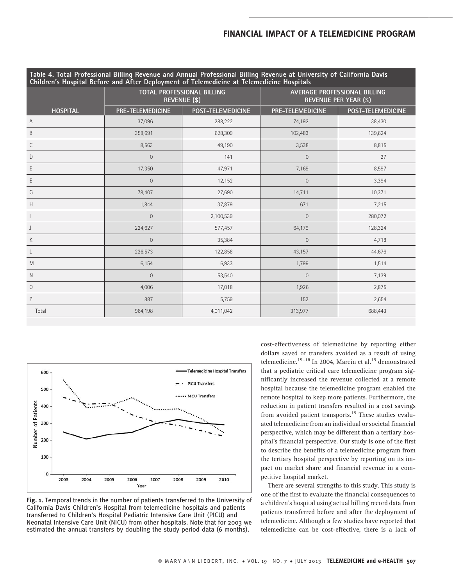# FINANCIAL IMPACT OF A TELEMEDICINE PROGRAM

| Table 4. Total Professional Billing Revenue and Annual Professional Billing Revenue at University of California Davis<br>Children's Hospital Before and After Deployment of Telemedicine at Telemedicine Hospitals |                                                          |                          |                                                                     |                   |  |
|--------------------------------------------------------------------------------------------------------------------------------------------------------------------------------------------------------------------|----------------------------------------------------------|--------------------------|---------------------------------------------------------------------|-------------------|--|
|                                                                                                                                                                                                                    | <b>TOTAL PROFESSIONAL BILLING</b><br><b>REVENUE (\$)</b> |                          | <b>AVERAGE PROFESSIONAL BILLING</b><br><b>REVENUE PER YEAR (\$)</b> |                   |  |
| <b>HOSPITAL</b>                                                                                                                                                                                                    | <b>PRE-TELEMEDICINE</b>                                  | <b>POST-TELEMEDICINE</b> | <b>PRE-TELEMEDICINE</b>                                             | POST-TELEMEDICINE |  |
| A                                                                                                                                                                                                                  | 37,096                                                   | 288,222                  | 74,192                                                              | 38,430            |  |
| B                                                                                                                                                                                                                  | 358,691                                                  | 628,309                  | 102,483                                                             | 139.624           |  |
| C                                                                                                                                                                                                                  | 8,563                                                    | 49,190                   | 3,538                                                               | 8,815             |  |
| D                                                                                                                                                                                                                  | $\mathbf{0}$                                             | 141                      | $\overline{0}$                                                      | 27                |  |
| E                                                                                                                                                                                                                  | 17,350                                                   | 47,971                   | 7,169                                                               | 8,597             |  |
| Ε                                                                                                                                                                                                                  | $\mathbf{0}$                                             | 12,152                   | $\mathbf{0}$                                                        | 3,394             |  |
| G                                                                                                                                                                                                                  | 78,407                                                   | 27,690                   | 14,711                                                              | 10,371            |  |
| H                                                                                                                                                                                                                  | 1,844                                                    | 37,879                   | 671                                                                 | 7,215             |  |
|                                                                                                                                                                                                                    | $\overline{0}$                                           | 2,100,539                | $\Omega$                                                            | 280,072           |  |
| J                                                                                                                                                                                                                  | 224,627                                                  | 577,457                  | 64,179                                                              | 128,324           |  |
| K                                                                                                                                                                                                                  | $\mathbf{0}$                                             | 35,384                   | $\mathbf{0}$                                                        | 4,718             |  |
|                                                                                                                                                                                                                    | 226,573                                                  | 122,858                  | 43,157                                                              | 44,676            |  |
| M                                                                                                                                                                                                                  | 6,154                                                    | 6,933                    | 1,799                                                               | 1,514             |  |
| N                                                                                                                                                                                                                  | $\overline{0}$                                           | 53,540                   | $\overline{0}$                                                      | 7,139             |  |
| $\mathbf{0}$                                                                                                                                                                                                       | 4,006                                                    | 17,018                   | 1,926                                                               | 2,875             |  |
| P                                                                                                                                                                                                                  | 887                                                      | 5,759                    | 152                                                                 | 2,654             |  |
| Total                                                                                                                                                                                                              | 964,198                                                  | 4,011,042                | 313,977                                                             | 688,443           |  |



Fig. 1. Temporal trends in the number of patients transferred to the University of California Davis Children's Hospital from telemedicine hospitals and patients transferred to Children's Hospital Pediatric Intensive Care Unit (PICU) and Neonatal Intensive Care Unit (NICU) from other hospitals. Note that for 2003 we estimated the annual transfers by doubling the study period data (6 months).

cost-effectiveness of telemedicine by reporting either dollars saved or transfers avoided as a result of using telemedicine.<sup>15–18</sup> In 2004, Marcin et al.<sup>19</sup> demonstrated that a pediatric critical care telemedicine program significantly increased the revenue collected at a remote hospital because the telemedicine program enabled the remote hospital to keep more patients. Furthermore, the reduction in patient transfers resulted in a cost savings from avoided patient transports.<sup>19</sup> These studies evaluated telemedicine from an individual or societal financial perspective, which may be different than a tertiary hospital's financial perspective. Our study is one of the first to describe the benefits of a telemedicine program from the tertiary hospital perspective by reporting on its impact on market share and financial revenue in a competitive hospital market.

There are several strengths to this study. This study is one of the first to evaluate the financial consequences to a children's hospital using actual billing record data from patients transferred before and after the deployment of telemedicine. Although a few studies have reported that telemedicine can be cost-effective, there is a lack of